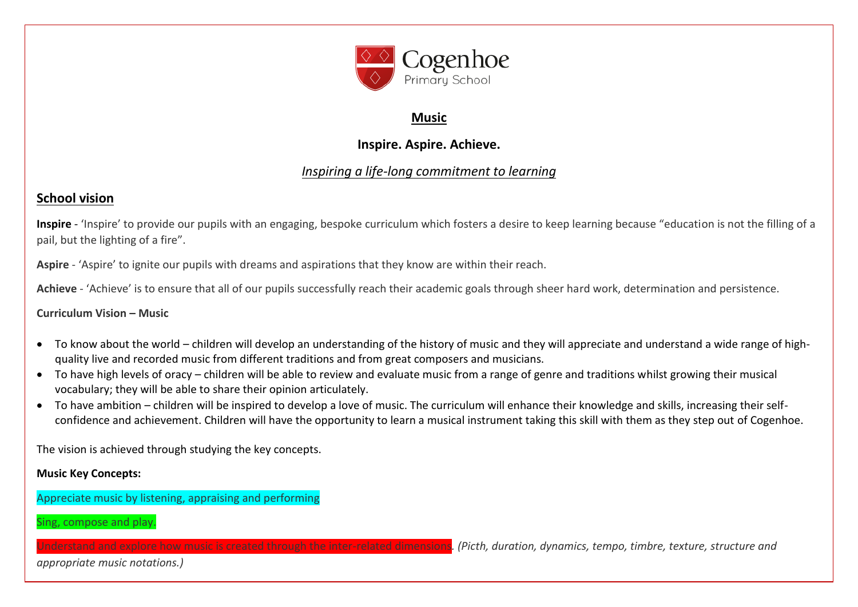

## **Music**

# **Inspire. Aspire. Achieve.**

## *Inspiring a life-long commitment to learning*

# **School vision**

**Inspire** - 'Inspire' to provide our pupils with an engaging, bespoke curriculum which fosters a desire to keep learning because "education is not the filling of a pail, but the lighting of a fire".

**Aspire** - 'Aspire' to ignite our pupils with dreams and aspirations that they know are within their reach.

**Achieve** - 'Achieve' is to ensure that all of our pupils successfully reach their academic goals through sheer hard work, determination and persistence.

**Curriculum Vision – Music** 

- To know about the world children will develop an understanding of the history of music and they will appreciate and understand a wide range of highquality live and recorded music from different traditions and from great composers and musicians.
- To have high levels of oracy children will be able to review and evaluate music from a range of genre and traditions whilst growing their musical vocabulary; they will be able to share their opinion articulately.
- To have ambition children will be inspired to develop a love of music. The curriculum will enhance their knowledge and skills, increasing their selfconfidence and achievement. Children will have the opportunity to learn a musical instrument taking this skill with them as they step out of Cogenhoe.

The vision is achieved through studying the key concepts.

### **Music Key Concepts:**

Appreciate music by listening, appraising and performing

Sing, compose and play.

Understand and explore how music is created through the inter-related dimensions*. (Picth, duration, dynamics, tempo, timbre, texture, structure and* 

*appropriate music notations.)*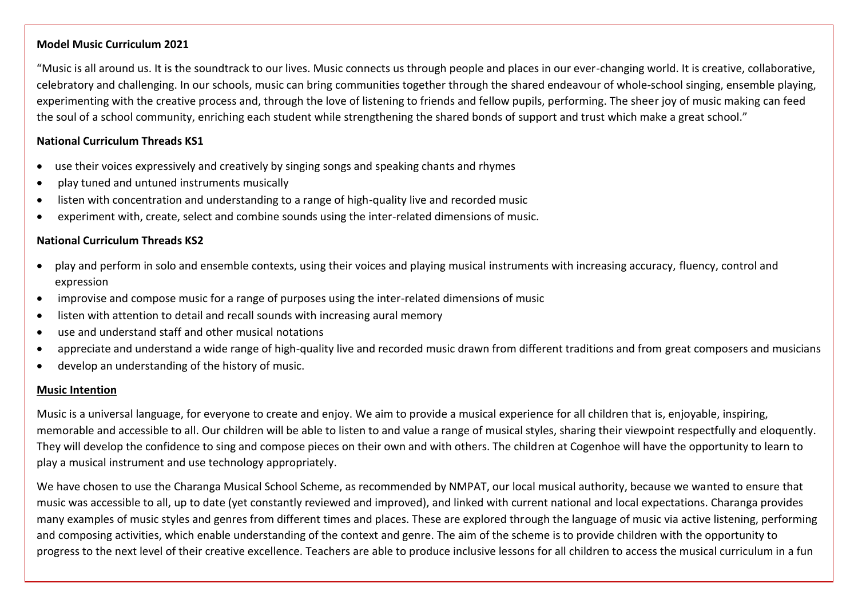#### **Model Music Curriculum 2021**

"Music is all around us. It is the soundtrack to our lives. Music connects us through people and places in our ever-changing world. It is creative, collaborative, celebratory and challenging. In our schools, music can bring communities together through the shared endeavour of whole-school singing, ensemble playing, experimenting with the creative process and, through the love of listening to friends and fellow pupils, performing. The sheer joy of music making can feed the soul of a school community, enriching each student while strengthening the shared bonds of support and trust which make a great school."

### **National Curriculum Threads KS1**

- use their voices expressively and creatively by singing songs and speaking chants and rhymes
- play tuned and untuned instruments musically
- listen with concentration and understanding to a range of high-quality live and recorded music
- experiment with, create, select and combine sounds using the inter-related dimensions of music.

## **National Curriculum Threads KS2**

- play and perform in solo and ensemble contexts, using their voices and playing musical instruments with increasing accuracy, fluency, control and expression
- improvise and compose music for a range of purposes using the inter-related dimensions of music
- listen with attention to detail and recall sounds with increasing aural memory
- use and understand staff and other musical notations
- appreciate and understand a wide range of high-quality live and recorded music drawn from different traditions and from great composers and musicians
- develop an understanding of the history of music.

### **Music Intention**

Music is a universal language, for everyone to create and enjoy. We aim to provide a musical experience for all children that is, enjoyable, inspiring, memorable and accessible to all. Our children will be able to listen to and value a range of musical styles, sharing their viewpoint respectfully and eloquently. They will develop the confidence to sing and compose pieces on their own and with others. The children at Cogenhoe will have the opportunity to learn to play a musical instrument and use technology appropriately.

We have chosen to use the Charanga Musical School Scheme, as recommended by NMPAT, our local musical authority, because we wanted to ensure that music was accessible to all, up to date (yet constantly reviewed and improved), and linked with current national and local expectations. Charanga provides many examples of music styles and genres from different times and places. These are explored through the language of music via active listening, performing and composing activities, which enable understanding of the context and genre. The aim of the scheme is to provide children with the opportunity to progress to the next level of their creative excellence. Teachers are able to produce inclusive lessons for all children to access the musical curriculum in a fun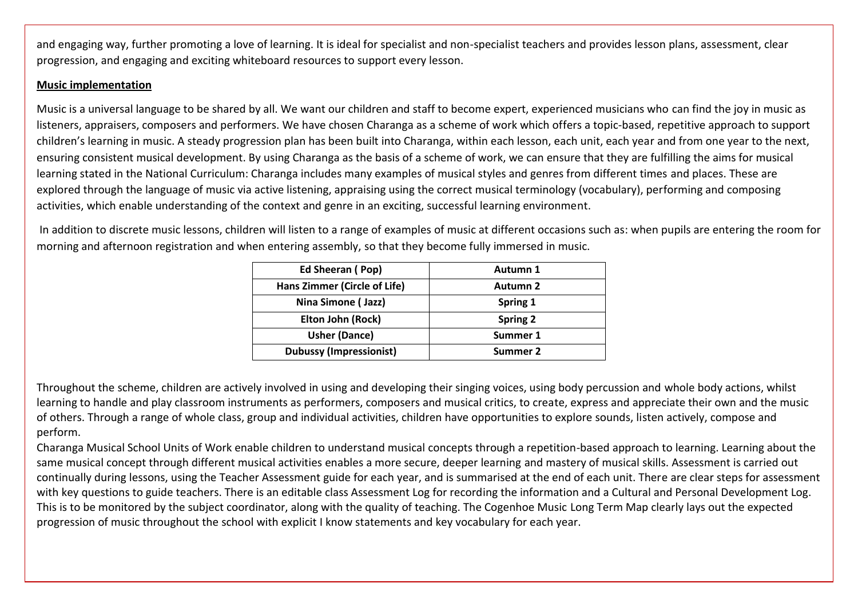and engaging way, further promoting a love of learning. It is ideal for specialist and non-specialist teachers and provides lesson plans, assessment, clear progression, and engaging and exciting whiteboard resources to support every lesson.

### **Music implementation**

Music is a universal language to be shared by all. We want our children and staff to become expert, experienced musicians who can find the joy in music as listeners, appraisers, composers and performers. We have chosen Charanga as a scheme of work which offers a topic-based, repetitive approach to support children's learning in music. A steady progression plan has been built into Charanga, within each lesson, each unit, each year and from one year to the next, ensuring consistent musical development. By using Charanga as the basis of a scheme of work, we can ensure that they are fulfilling the aims for musical learning stated in the National Curriculum: Charanga includes many examples of musical styles and genres from different times and places. These are explored through the language of music via active listening, appraising using the correct musical terminology (vocabulary), performing and composing activities, which enable understanding of the context and genre in an exciting, successful learning environment.

In addition to discrete music lessons, children will listen to a range of examples of music at different occasions such as: when pupils are entering the room for morning and afternoon registration and when entering assembly, so that they become fully immersed in music.

| Ed Sheeran (Pop)               | Autumn 1        |
|--------------------------------|-----------------|
| Hans Zimmer (Circle of Life)   | Autumn 2        |
| Nina Simone (Jazz)             | Spring 1        |
| Elton John (Rock)              | <b>Spring 2</b> |
| <b>Usher (Dance)</b>           | Summer 1        |
| <b>Dubussy (Impressionist)</b> | Summer 2        |

Throughout the scheme, children are actively involved in using and developing their singing voices, using body percussion and whole body actions, whilst learning to handle and play classroom instruments as performers, composers and musical critics, to create, express and appreciate their own and the music of others. Through a range of whole class, group and individual activities, children have opportunities to explore sounds, listen actively, compose and perform.

Charanga Musical School Units of Work enable children to understand musical concepts through a repetition-based approach to learning. Learning about the same musical concept through different musical activities enables a more secure, deeper learning and mastery of musical skills. Assessment is carried out continually during lessons, using the Teacher Assessment guide for each year, and is summarised at the end of each unit. There are clear steps for assessment with key questions to guide teachers. There is an editable class Assessment Log for recording the information and a Cultural and Personal Development Log. This is to be monitored by the subject coordinator, along with the quality of teaching. The Cogenhoe Music Long Term Map clearly lays out the expected progression of music throughout the school with explicit I know statements and key vocabulary for each year.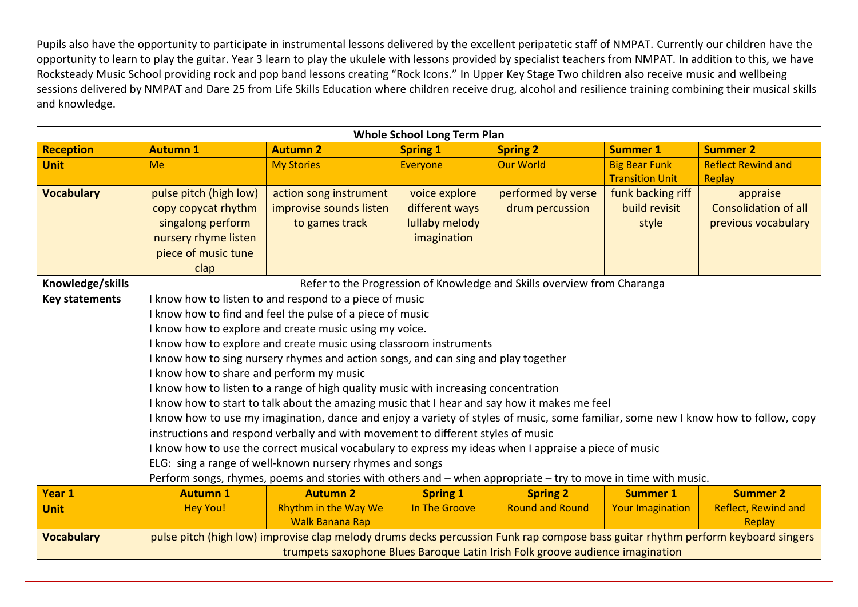Pupils also have the opportunity to participate in instrumental lessons delivered by the excellent peripatetic staff of NMPAT. Currently our children have the opportunity to learn to play the guitar. Year 3 learn to play the ukulele with lessons provided by specialist teachers from NMPAT. In addition to this, we have Rocksteady Music School providing rock and pop band lessons creating "Rock Icons." In Upper Key Stage Two children also receive music and wellbeing sessions delivered by NMPAT and Dare 25 from Life Skills Education where children receive drug, alcohol and resilience training combining their musical skills and knowledge.

|                       |                                                                                                                                    |                                                                                                                                                                                                                   | <b>Whole School Long Term Plan</b> |                                                                         |                         |                             |
|-----------------------|------------------------------------------------------------------------------------------------------------------------------------|-------------------------------------------------------------------------------------------------------------------------------------------------------------------------------------------------------------------|------------------------------------|-------------------------------------------------------------------------|-------------------------|-----------------------------|
| <b>Reception</b>      | <b>Autumn 1</b>                                                                                                                    | <b>Autumn 2</b>                                                                                                                                                                                                   | <b>Spring 1</b>                    | <b>Spring 2</b>                                                         | <b>Summer 1</b>         | <b>Summer 2</b>             |
| <b>Unit</b>           | Me                                                                                                                                 | <b>My Stories</b>                                                                                                                                                                                                 | <b>Everyone</b>                    | <b>Our World</b>                                                        | <b>Big Bear Funk</b>    | <b>Reflect Rewind and</b>   |
|                       |                                                                                                                                    |                                                                                                                                                                                                                   |                                    |                                                                         | <b>Transition Unit</b>  | Replay                      |
| <b>Vocabulary</b>     | pulse pitch (high low)                                                                                                             | action song instrument                                                                                                                                                                                            | voice explore                      | performed by verse                                                      | funk backing riff       | appraise                    |
|                       | copy copycat rhythm                                                                                                                | improvise sounds listen                                                                                                                                                                                           | different ways                     | drum percussion                                                         | build revisit           | <b>Consolidation of all</b> |
|                       | singalong perform                                                                                                                  | to games track                                                                                                                                                                                                    | lullaby melody                     |                                                                         | style                   | previous vocabulary         |
|                       | nursery rhyme listen                                                                                                               |                                                                                                                                                                                                                   | imagination                        |                                                                         |                         |                             |
|                       | piece of music tune                                                                                                                |                                                                                                                                                                                                                   |                                    |                                                                         |                         |                             |
|                       | clap                                                                                                                               |                                                                                                                                                                                                                   |                                    |                                                                         |                         |                             |
| Knowledge/skills      |                                                                                                                                    |                                                                                                                                                                                                                   |                                    | Refer to the Progression of Knowledge and Skills overview from Charanga |                         |                             |
| <b>Key statements</b> |                                                                                                                                    | I know how to listen to and respond to a piece of music                                                                                                                                                           |                                    |                                                                         |                         |                             |
|                       | I know how to find and feel the pulse of a piece of music                                                                          |                                                                                                                                                                                                                   |                                    |                                                                         |                         |                             |
|                       | I know how to explore and create music using my voice.                                                                             |                                                                                                                                                                                                                   |                                    |                                                                         |                         |                             |
|                       | I know how to explore and create music using classroom instruments                                                                 |                                                                                                                                                                                                                   |                                    |                                                                         |                         |                             |
|                       | I know how to sing nursery rhymes and action songs, and can sing and play together                                                 |                                                                                                                                                                                                                   |                                    |                                                                         |                         |                             |
|                       | I know how to share and perform my music<br>I know how to listen to a range of high quality music with increasing concentration    |                                                                                                                                                                                                                   |                                    |                                                                         |                         |                             |
|                       |                                                                                                                                    |                                                                                                                                                                                                                   |                                    |                                                                         |                         |                             |
|                       |                                                                                                                                    | I know how to start to talk about the amazing music that I hear and say how it makes me feel                                                                                                                      |                                    |                                                                         |                         |                             |
|                       | I know how to use my imagination, dance and enjoy a variety of styles of music, some familiar, some new I know how to follow, copy |                                                                                                                                                                                                                   |                                    |                                                                         |                         |                             |
|                       | instructions and respond verbally and with movement to different styles of music                                                   |                                                                                                                                                                                                                   |                                    |                                                                         |                         |                             |
|                       | I know how to use the correct musical vocabulary to express my ideas when I appraise a piece of music                              |                                                                                                                                                                                                                   |                                    |                                                                         |                         |                             |
|                       |                                                                                                                                    | ELG: sing a range of well-known nursery rhymes and songs                                                                                                                                                          |                                    |                                                                         |                         |                             |
|                       |                                                                                                                                    | Perform songs, rhymes, poems and stories with others and - when appropriate - try to move in time with music.                                                                                                     |                                    |                                                                         |                         |                             |
| Year <sub>1</sub>     | <b>Autumn 1</b>                                                                                                                    | <b>Autumn 2</b>                                                                                                                                                                                                   | <b>Spring 1</b>                    | <b>Spring 2</b>                                                         | <b>Summer 1</b>         | <b>Summer 2</b>             |
| <b>Unit</b>           | <b>Hey You!</b>                                                                                                                    | Rhythm in the Way We                                                                                                                                                                                              | In The Groove                      | <b>Round and Round</b>                                                  | <b>Your Imagination</b> | <b>Reflect, Rewind and</b>  |
|                       |                                                                                                                                    | <b>Walk Banana Rap</b>                                                                                                                                                                                            |                                    |                                                                         |                         | Replay                      |
| <b>Vocabulary</b>     |                                                                                                                                    | pulse pitch (high low) improvise clap melody drums decks percussion Funk rap compose bass guitar rhythm perform keyboard singers<br>trumpets saxophone Blues Baroque Latin Irish Folk groove audience imagination |                                    |                                                                         |                         |                             |
|                       |                                                                                                                                    |                                                                                                                                                                                                                   |                                    |                                                                         |                         |                             |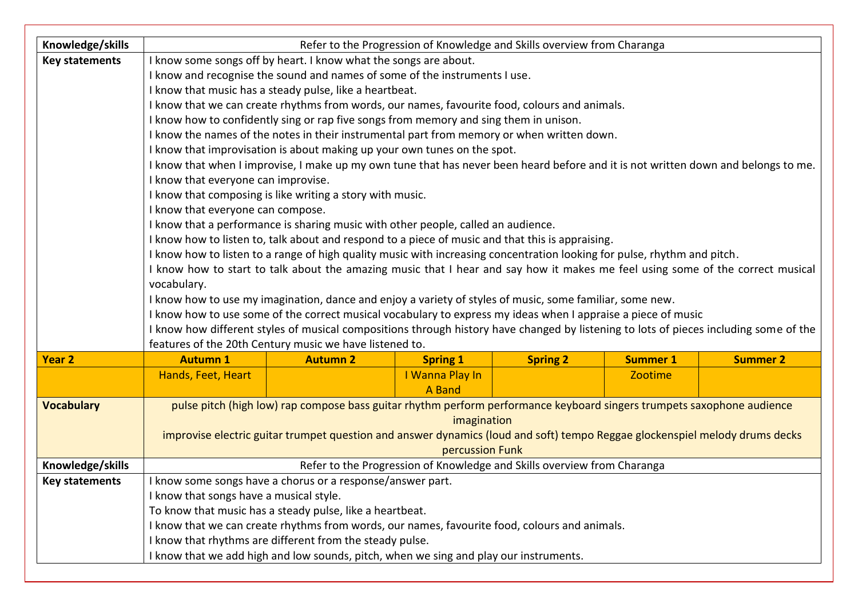| Knowledge/skills      |                                                                                                                                                                                                                                                   |                                                                                                                                                                                                                                                            |                 | Refer to the Progression of Knowledge and Skills overview from Charanga |                |  |
|-----------------------|---------------------------------------------------------------------------------------------------------------------------------------------------------------------------------------------------------------------------------------------------|------------------------------------------------------------------------------------------------------------------------------------------------------------------------------------------------------------------------------------------------------------|-----------------|-------------------------------------------------------------------------|----------------|--|
| <b>Key statements</b> | I know some songs off by heart. I know what the songs are about.                                                                                                                                                                                  |                                                                                                                                                                                                                                                            |                 |                                                                         |                |  |
|                       |                                                                                                                                                                                                                                                   | I know and recognise the sound and names of some of the instruments I use.                                                                                                                                                                                 |                 |                                                                         |                |  |
|                       | I know that music has a steady pulse, like a heartbeat.<br>I know that we can create rhythms from words, our names, favourite food, colours and animals.<br>I know how to confidently sing or rap five songs from memory and sing them in unison. |                                                                                                                                                                                                                                                            |                 |                                                                         |                |  |
|                       |                                                                                                                                                                                                                                                   |                                                                                                                                                                                                                                                            |                 |                                                                         |                |  |
|                       |                                                                                                                                                                                                                                                   |                                                                                                                                                                                                                                                            |                 |                                                                         |                |  |
|                       |                                                                                                                                                                                                                                                   | I know the names of the notes in their instrumental part from memory or when written down.                                                                                                                                                                 |                 |                                                                         |                |  |
|                       |                                                                                                                                                                                                                                                   | I know that improvisation is about making up your own tunes on the spot.                                                                                                                                                                                   |                 |                                                                         |                |  |
|                       |                                                                                                                                                                                                                                                   | I know that when I improvise, I make up my own tune that has never been heard before and it is not written down and belongs to me.                                                                                                                         |                 |                                                                         |                |  |
|                       | I know that everyone can improvise.                                                                                                                                                                                                               |                                                                                                                                                                                                                                                            |                 |                                                                         |                |  |
|                       |                                                                                                                                                                                                                                                   | I know that composing is like writing a story with music.                                                                                                                                                                                                  |                 |                                                                         |                |  |
|                       | I know that everyone can compose.                                                                                                                                                                                                                 |                                                                                                                                                                                                                                                            |                 |                                                                         |                |  |
|                       |                                                                                                                                                                                                                                                   | I know that a performance is sharing music with other people, called an audience.                                                                                                                                                                          |                 |                                                                         |                |  |
|                       |                                                                                                                                                                                                                                                   | I know how to listen to, talk about and respond to a piece of music and that this is appraising.                                                                                                                                                           |                 |                                                                         |                |  |
|                       |                                                                                                                                                                                                                                                   | I know how to listen to a range of high quality music with increasing concentration looking for pulse, rhythm and pitch.<br>I know how to start to talk about the amazing music that I hear and say how it makes me feel using some of the correct musical |                 |                                                                         |                |  |
|                       | vocabulary.                                                                                                                                                                                                                                       |                                                                                                                                                                                                                                                            |                 |                                                                         |                |  |
|                       |                                                                                                                                                                                                                                                   |                                                                                                                                                                                                                                                            |                 |                                                                         |                |  |
|                       | I know how to use my imagination, dance and enjoy a variety of styles of music, some familiar, some new.<br>I know how to use some of the correct musical vocabulary to express my ideas when I appraise a piece of music                         |                                                                                                                                                                                                                                                            |                 |                                                                         |                |  |
|                       | I know how different styles of musical compositions through history have changed by listening to lots of pieces including some of the                                                                                                             |                                                                                                                                                                                                                                                            |                 |                                                                         |                |  |
|                       | features of the 20th Century music we have listened to.                                                                                                                                                                                           |                                                                                                                                                                                                                                                            |                 |                                                                         |                |  |
| <b>Year 2</b>         | <b>Autumn 1</b><br><b>Autumn 2</b><br><b>Spring 1</b><br><b>Spring 2</b><br><b>Summer 1</b><br><b>Summer 2</b>                                                                                                                                    |                                                                                                                                                                                                                                                            |                 |                                                                         |                |  |
|                       | Hands, Feet, Heart                                                                                                                                                                                                                                |                                                                                                                                                                                                                                                            | I Wanna Play In |                                                                         | <b>Zootime</b> |  |
|                       |                                                                                                                                                                                                                                                   |                                                                                                                                                                                                                                                            | A Band          |                                                                         |                |  |
| <b>Vocabulary</b>     | pulse pitch (high low) rap compose bass guitar rhythm perform performance keyboard singers trumpets saxophone audience                                                                                                                            |                                                                                                                                                                                                                                                            |                 |                                                                         |                |  |
|                       | imagination                                                                                                                                                                                                                                       |                                                                                                                                                                                                                                                            |                 |                                                                         |                |  |
|                       | improvise electric guitar trumpet question and answer dynamics (loud and soft) tempo Reggae glockenspiel melody drums decks                                                                                                                       |                                                                                                                                                                                                                                                            |                 |                                                                         |                |  |
|                       | percussion Funk                                                                                                                                                                                                                                   |                                                                                                                                                                                                                                                            |                 |                                                                         |                |  |
| Knowledge/skills      | Refer to the Progression of Knowledge and Skills overview from Charanga                                                                                                                                                                           |                                                                                                                                                                                                                                                            |                 |                                                                         |                |  |
| <b>Key statements</b> |                                                                                                                                                                                                                                                   | I know some songs have a chorus or a response/answer part.                                                                                                                                                                                                 |                 |                                                                         |                |  |
|                       | I know that songs have a musical style.                                                                                                                                                                                                           |                                                                                                                                                                                                                                                            |                 |                                                                         |                |  |
|                       |                                                                                                                                                                                                                                                   | To know that music has a steady pulse, like a heartbeat.                                                                                                                                                                                                   |                 |                                                                         |                |  |
|                       |                                                                                                                                                                                                                                                   | I know that we can create rhythms from words, our names, favourite food, colours and animals.<br>I know that rhythms are different from the steady pulse.                                                                                                  |                 |                                                                         |                |  |
|                       | I know that we add high and low sounds, pitch, when we sing and play our instruments.                                                                                                                                                             |                                                                                                                                                                                                                                                            |                 |                                                                         |                |  |
|                       |                                                                                                                                                                                                                                                   |                                                                                                                                                                                                                                                            |                 |                                                                         |                |  |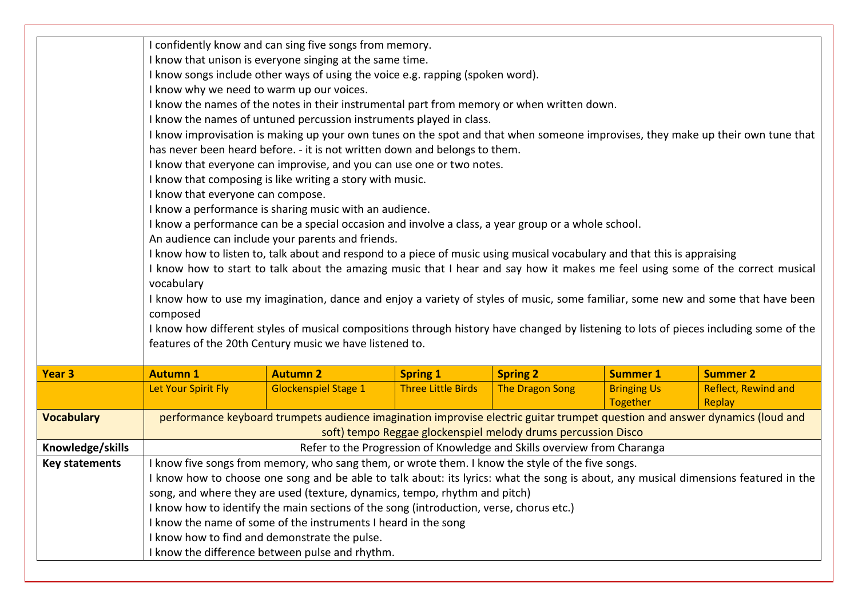|                       |                                                                                                                                       | I confidently know and can sing five songs from memory.                                                                         |                           |                                                                         |                    |                                                                                                                                     |  |
|-----------------------|---------------------------------------------------------------------------------------------------------------------------------------|---------------------------------------------------------------------------------------------------------------------------------|---------------------------|-------------------------------------------------------------------------|--------------------|-------------------------------------------------------------------------------------------------------------------------------------|--|
|                       | I know that unison is everyone singing at the same time.                                                                              |                                                                                                                                 |                           |                                                                         |                    |                                                                                                                                     |  |
|                       |                                                                                                                                       | I know songs include other ways of using the voice e.g. rapping (spoken word).                                                  |                           |                                                                         |                    |                                                                                                                                     |  |
|                       | I know why we need to warm up our voices.                                                                                             |                                                                                                                                 |                           |                                                                         |                    |                                                                                                                                     |  |
|                       | I know the names of the notes in their instrumental part from memory or when written down.                                            |                                                                                                                                 |                           |                                                                         |                    |                                                                                                                                     |  |
|                       | I know the names of untuned percussion instruments played in class.                                                                   |                                                                                                                                 |                           |                                                                         |                    |                                                                                                                                     |  |
|                       |                                                                                                                                       | I know improvisation is making up your own tunes on the spot and that when someone improvises, they make up their own tune that |                           |                                                                         |                    |                                                                                                                                     |  |
|                       |                                                                                                                                       | has never been heard before. - it is not written down and belongs to them.                                                      |                           |                                                                         |                    |                                                                                                                                     |  |
|                       |                                                                                                                                       | I know that everyone can improvise, and you can use one or two notes.                                                           |                           |                                                                         |                    |                                                                                                                                     |  |
|                       |                                                                                                                                       | I know that composing is like writing a story with music.                                                                       |                           |                                                                         |                    |                                                                                                                                     |  |
|                       | I know that everyone can compose.                                                                                                     |                                                                                                                                 |                           |                                                                         |                    |                                                                                                                                     |  |
|                       |                                                                                                                                       | I know a performance is sharing music with an audience.                                                                         |                           |                                                                         |                    |                                                                                                                                     |  |
|                       |                                                                                                                                       | I know a performance can be a special occasion and involve a class, a year group or a whole school.                             |                           |                                                                         |                    |                                                                                                                                     |  |
|                       |                                                                                                                                       | An audience can include your parents and friends.                                                                               |                           |                                                                         |                    |                                                                                                                                     |  |
|                       |                                                                                                                                       | I know how to listen to, talk about and respond to a piece of music using musical vocabulary and that this is appraising        |                           |                                                                         |                    |                                                                                                                                     |  |
|                       |                                                                                                                                       |                                                                                                                                 |                           |                                                                         |                    | I know how to start to talk about the amazing music that I hear and say how it makes me feel using some of the correct musical      |  |
|                       | vocabulary                                                                                                                            |                                                                                                                                 |                           |                                                                         |                    |                                                                                                                                     |  |
|                       |                                                                                                                                       |                                                                                                                                 |                           |                                                                         |                    | I know how to use my imagination, dance and enjoy a variety of styles of music, some familiar, some new and some that have been     |  |
|                       |                                                                                                                                       |                                                                                                                                 | composed                  |                                                                         |                    |                                                                                                                                     |  |
|                       | I know how different styles of musical compositions through history have changed by listening to lots of pieces including some of the |                                                                                                                                 |                           |                                                                         |                    |                                                                                                                                     |  |
|                       |                                                                                                                                       |                                                                                                                                 |                           |                                                                         |                    |                                                                                                                                     |  |
|                       |                                                                                                                                       | features of the 20th Century music we have listened to.                                                                         |                           |                                                                         |                    |                                                                                                                                     |  |
| Year <sub>3</sub>     | <b>Autumn 1</b>                                                                                                                       | <b>Autumn 2</b>                                                                                                                 | <b>Spring 1</b>           | <b>Spring 2</b>                                                         | <b>Summer 1</b>    | <b>Summer 2</b>                                                                                                                     |  |
|                       | Let Your Spirit Fly                                                                                                                   | <b>Glockenspiel Stage 1</b>                                                                                                     | <b>Three Little Birds</b> | <b>The Dragon Song</b>                                                  | <b>Bringing Us</b> | <b>Reflect, Rewind and</b>                                                                                                          |  |
|                       |                                                                                                                                       |                                                                                                                                 |                           |                                                                         | <b>Together</b>    | Replay                                                                                                                              |  |
| <b>Vocabulary</b>     |                                                                                                                                       | performance keyboard trumpets audience imagination improvise electric guitar trumpet question and answer dynamics (loud and     |                           |                                                                         |                    |                                                                                                                                     |  |
|                       |                                                                                                                                       |                                                                                                                                 |                           | soft) tempo Reggae glockenspiel melody drums percussion Disco           |                    |                                                                                                                                     |  |
| Knowledge/skills      |                                                                                                                                       |                                                                                                                                 |                           | Refer to the Progression of Knowledge and Skills overview from Charanga |                    |                                                                                                                                     |  |
| <b>Key statements</b> |                                                                                                                                       | I know five songs from memory, who sang them, or wrote them. I know the style of the five songs.                                |                           |                                                                         |                    |                                                                                                                                     |  |
|                       |                                                                                                                                       |                                                                                                                                 |                           |                                                                         |                    | I know how to choose one song and be able to talk about: its lyrics: what the song is about, any musical dimensions featured in the |  |
|                       |                                                                                                                                       | song, and where they are used (texture, dynamics, tempo, rhythm and pitch)                                                      |                           |                                                                         |                    |                                                                                                                                     |  |
|                       |                                                                                                                                       | I know how to identify the main sections of the song (introduction, verse, chorus etc.)                                         |                           |                                                                         |                    |                                                                                                                                     |  |
|                       |                                                                                                                                       | I know the name of some of the instruments I heard in the song                                                                  |                           |                                                                         |                    |                                                                                                                                     |  |
|                       |                                                                                                                                       | I know how to find and demonstrate the pulse.<br>I know the difference between pulse and rhythm.                                |                           |                                                                         |                    |                                                                                                                                     |  |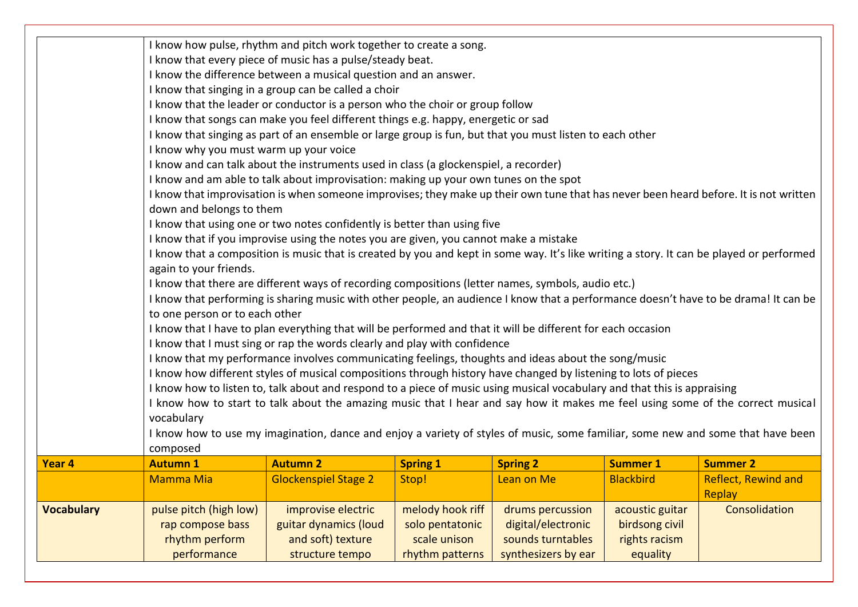|                   | I know how pulse, rhythm and pitch work together to create a song.<br>I know that every piece of music has a pulse/steady beat.                |                                                                                                                                          |                  |                     |                  |                            |
|-------------------|------------------------------------------------------------------------------------------------------------------------------------------------|------------------------------------------------------------------------------------------------------------------------------------------|------------------|---------------------|------------------|----------------------------|
|                   | I know the difference between a musical question and an answer.                                                                                |                                                                                                                                          |                  |                     |                  |                            |
|                   | I know that singing in a group can be called a choir                                                                                           |                                                                                                                                          |                  |                     |                  |                            |
|                   |                                                                                                                                                | I know that the leader or conductor is a person who the choir or group follow                                                            |                  |                     |                  |                            |
|                   |                                                                                                                                                | I know that songs can make you feel different things e.g. happy, energetic or sad                                                        |                  |                     |                  |                            |
|                   |                                                                                                                                                | I know that singing as part of an ensemble or large group is fun, but that you must listen to each other                                 |                  |                     |                  |                            |
|                   | I know why you must warm up your voice                                                                                                         |                                                                                                                                          |                  |                     |                  |                            |
|                   |                                                                                                                                                | I know and can talk about the instruments used in class (a glockenspiel, a recorder)                                                     |                  |                     |                  |                            |
|                   |                                                                                                                                                | I know and am able to talk about improvisation: making up your own tunes on the spot                                                     |                  |                     |                  |                            |
|                   |                                                                                                                                                | I know that improvisation is when someone improvises; they make up their own tune that has never been heard before. It is not written    |                  |                     |                  |                            |
|                   | down and belongs to them                                                                                                                       |                                                                                                                                          |                  |                     |                  |                            |
|                   |                                                                                                                                                | I know that using one or two notes confidently is better than using five                                                                 |                  |                     |                  |                            |
|                   |                                                                                                                                                | I know that if you improvise using the notes you are given, you cannot make a mistake                                                    |                  |                     |                  |                            |
|                   |                                                                                                                                                | I know that a composition is music that is created by you and kept in some way. It's like writing a story. It can be played or performed |                  |                     |                  |                            |
|                   | again to your friends.                                                                                                                         |                                                                                                                                          |                  |                     |                  |                            |
|                   |                                                                                                                                                | I know that there are different ways of recording compositions (letter names, symbols, audio etc.)                                       |                  |                     |                  |                            |
|                   | I know that performing is sharing music with other people, an audience I know that a performance doesn't have to be drama! It can be           |                                                                                                                                          |                  |                     |                  |                            |
|                   | to one person or to each other<br>I know that I have to plan everything that will be performed and that it will be different for each occasion |                                                                                                                                          |                  |                     |                  |                            |
|                   | I know that I must sing or rap the words clearly and play with confidence                                                                      |                                                                                                                                          |                  |                     |                  |                            |
|                   | I know that my performance involves communicating feelings, thoughts and ideas about the song/music                                            |                                                                                                                                          |                  |                     |                  |                            |
|                   | I know how different styles of musical compositions through history have changed by listening to lots of pieces                                |                                                                                                                                          |                  |                     |                  |                            |
|                   | I know how to listen to, talk about and respond to a piece of music using musical vocabulary and that this is appraising                       |                                                                                                                                          |                  |                     |                  |                            |
|                   | I know how to start to talk about the amazing music that I hear and say how it makes me feel using some of the correct musical                 |                                                                                                                                          |                  |                     |                  |                            |
|                   | vocabulary                                                                                                                                     |                                                                                                                                          |                  |                     |                  |                            |
|                   |                                                                                                                                                |                                                                                                                                          |                  |                     |                  |                            |
|                   | I know how to use my imagination, dance and enjoy a variety of styles of music, some familiar, some new and some that have been<br>composed    |                                                                                                                                          |                  |                     |                  |                            |
| Year 4            | <b>Autumn 1</b>                                                                                                                                | <b>Autumn 2</b>                                                                                                                          | <b>Spring 1</b>  | <b>Spring 2</b>     | <b>Summer 1</b>  | <b>Summer 2</b>            |
|                   | <b>Mamma Mia</b>                                                                                                                               | <b>Glockenspiel Stage 2</b>                                                                                                              | Stop!            | Lean on Me          | <b>Blackbird</b> | <b>Reflect, Rewind and</b> |
|                   |                                                                                                                                                |                                                                                                                                          |                  |                     |                  | Replay                     |
| <b>Vocabulary</b> | pulse pitch (high low)                                                                                                                         | improvise electric                                                                                                                       | melody hook riff | drums percussion    | acoustic guitar  | Consolidation              |
|                   | rap compose bass                                                                                                                               | guitar dynamics (loud                                                                                                                    | solo pentatonic  | digital/electronic  | birdsong civil   |                            |
|                   | rhythm perform                                                                                                                                 | and soft) texture                                                                                                                        | scale unison     | sounds turntables   | rights racism    |                            |
|                   | performance                                                                                                                                    | structure tempo                                                                                                                          | rhythm patterns  | synthesizers by ear | equality         |                            |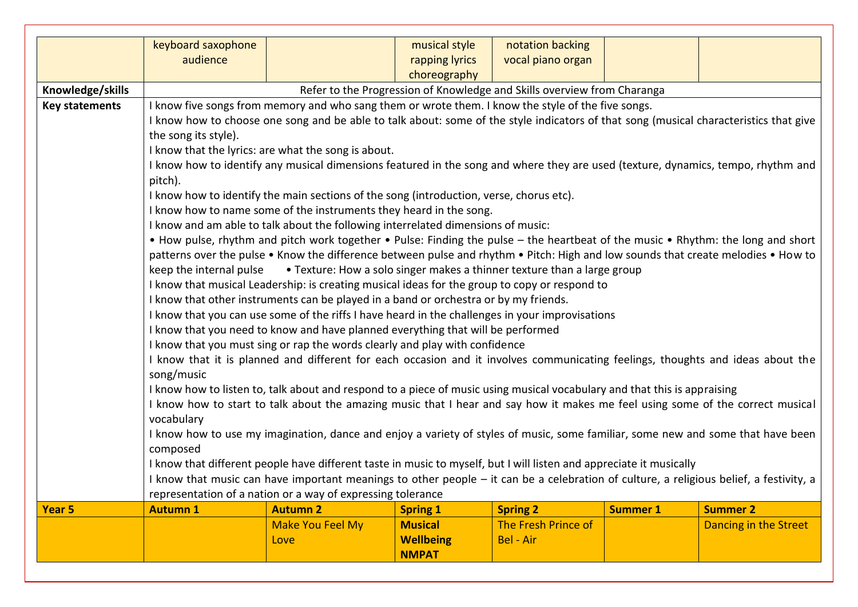|                       | keyboard saxophone                                                                                                                                                                                                                                                                                                                                                                                       |                                                                                                                                   | musical style    | notation backing                                                        |                 |                       |  |
|-----------------------|----------------------------------------------------------------------------------------------------------------------------------------------------------------------------------------------------------------------------------------------------------------------------------------------------------------------------------------------------------------------------------------------------------|-----------------------------------------------------------------------------------------------------------------------------------|------------------|-------------------------------------------------------------------------|-----------------|-----------------------|--|
|                       | audience                                                                                                                                                                                                                                                                                                                                                                                                 |                                                                                                                                   | rapping lyrics   | vocal piano organ                                                       |                 |                       |  |
|                       |                                                                                                                                                                                                                                                                                                                                                                                                          |                                                                                                                                   | choreography     |                                                                         |                 |                       |  |
| Knowledge/skills      | Refer to the Progression of Knowledge and Skills overview from Charanga                                                                                                                                                                                                                                                                                                                                  |                                                                                                                                   |                  |                                                                         |                 |                       |  |
| <b>Key statements</b> | I know five songs from memory and who sang them or wrote them. I know the style of the five songs.                                                                                                                                                                                                                                                                                                       |                                                                                                                                   |                  |                                                                         |                 |                       |  |
|                       | I know how to choose one song and be able to talk about: some of the style indicators of that song (musical characteristics that give                                                                                                                                                                                                                                                                    |                                                                                                                                   |                  |                                                                         |                 |                       |  |
|                       | the song its style).                                                                                                                                                                                                                                                                                                                                                                                     |                                                                                                                                   |                  |                                                                         |                 |                       |  |
|                       |                                                                                                                                                                                                                                                                                                                                                                                                          | I know that the lyrics: are what the song is about.                                                                               |                  |                                                                         |                 |                       |  |
|                       |                                                                                                                                                                                                                                                                                                                                                                                                          | I know how to identify any musical dimensions featured in the song and where they are used (texture, dynamics, tempo, rhythm and  |                  |                                                                         |                 |                       |  |
|                       | pitch).                                                                                                                                                                                                                                                                                                                                                                                                  |                                                                                                                                   |                  |                                                                         |                 |                       |  |
|                       |                                                                                                                                                                                                                                                                                                                                                                                                          | I know how to identify the main sections of the song (introduction, verse, chorus etc).                                           |                  |                                                                         |                 |                       |  |
|                       |                                                                                                                                                                                                                                                                                                                                                                                                          | I know how to name some of the instruments they heard in the song.                                                                |                  |                                                                         |                 |                       |  |
|                       |                                                                                                                                                                                                                                                                                                                                                                                                          | I know and am able to talk about the following interrelated dimensions of music:                                                  |                  |                                                                         |                 |                       |  |
|                       |                                                                                                                                                                                                                                                                                                                                                                                                          | • How pulse, rhythm and pitch work together • Pulse: Finding the pulse – the heartbeat of the music • Rhythm: the long and short  |                  |                                                                         |                 |                       |  |
|                       |                                                                                                                                                                                                                                                                                                                                                                                                          | patterns over the pulse • Know the difference between pulse and rhythm • Pitch: High and low sounds that create melodies • How to |                  |                                                                         |                 |                       |  |
|                       | keep the internal pulse                                                                                                                                                                                                                                                                                                                                                                                  |                                                                                                                                   |                  | • Texture: How a solo singer makes a thinner texture than a large group |                 |                       |  |
|                       |                                                                                                                                                                                                                                                                                                                                                                                                          | I know that musical Leadership: is creating musical ideas for the group to copy or respond to                                     |                  |                                                                         |                 |                       |  |
|                       | I know that other instruments can be played in a band or orchestra or by my friends.                                                                                                                                                                                                                                                                                                                     |                                                                                                                                   |                  |                                                                         |                 |                       |  |
|                       | I know that you can use some of the riffs I have heard in the challenges in your improvisations                                                                                                                                                                                                                                                                                                          |                                                                                                                                   |                  |                                                                         |                 |                       |  |
|                       | I know that you need to know and have planned everything that will be performed                                                                                                                                                                                                                                                                                                                          |                                                                                                                                   |                  |                                                                         |                 |                       |  |
|                       | I know that you must sing or rap the words clearly and play with confidence                                                                                                                                                                                                                                                                                                                              |                                                                                                                                   |                  |                                                                         |                 |                       |  |
|                       | I know that it is planned and different for each occasion and it involves communicating feelings, thoughts and ideas about the<br>song/music<br>I know how to listen to, talk about and respond to a piece of music using musical vocabulary and that this is appraising<br>know how to start to talk about the amazing music that I hear and say how it makes me feel using some of the correct musical |                                                                                                                                   |                  |                                                                         |                 |                       |  |
|                       |                                                                                                                                                                                                                                                                                                                                                                                                          |                                                                                                                                   |                  |                                                                         |                 |                       |  |
|                       |                                                                                                                                                                                                                                                                                                                                                                                                          |                                                                                                                                   |                  |                                                                         |                 |                       |  |
|                       | vocabulary                                                                                                                                                                                                                                                                                                                                                                                               |                                                                                                                                   |                  |                                                                         |                 |                       |  |
|                       |                                                                                                                                                                                                                                                                                                                                                                                                          | I know how to use my imagination, dance and enjoy a variety of styles of music, some familiar, some new and some that have been   |                  |                                                                         |                 |                       |  |
|                       | composed                                                                                                                                                                                                                                                                                                                                                                                                 |                                                                                                                                   |                  |                                                                         |                 |                       |  |
|                       |                                                                                                                                                                                                                                                                                                                                                                                                          | I know that different people have different taste in music to myself, but I will listen and appreciate it musically               |                  |                                                                         |                 |                       |  |
|                       |                                                                                                                                                                                                                                                                                                                                                                                                          |                                                                                                                                   |                  |                                                                         |                 |                       |  |
|                       | I know that music can have important meanings to other people - it can be a celebration of culture, a religious belief, a festivity, a<br>representation of a nation or a way of expressing tolerance                                                                                                                                                                                                    |                                                                                                                                   |                  |                                                                         |                 |                       |  |
| Year 5                | <b>Autumn 1</b>                                                                                                                                                                                                                                                                                                                                                                                          | <b>Autumn 2</b>                                                                                                                   | <b>Spring 1</b>  | <b>Spring 2</b>                                                         | <b>Summer 1</b> | <b>Summer 2</b>       |  |
|                       |                                                                                                                                                                                                                                                                                                                                                                                                          | Make You Feel My                                                                                                                  | <b>Musical</b>   | The Fresh Prince of                                                     |                 | Dancing in the Street |  |
|                       |                                                                                                                                                                                                                                                                                                                                                                                                          | Love                                                                                                                              | <b>Wellbeing</b> | Bel - Air                                                               |                 |                       |  |
|                       |                                                                                                                                                                                                                                                                                                                                                                                                          |                                                                                                                                   | <b>NMPAT</b>     |                                                                         |                 |                       |  |
|                       |                                                                                                                                                                                                                                                                                                                                                                                                          |                                                                                                                                   |                  |                                                                         |                 |                       |  |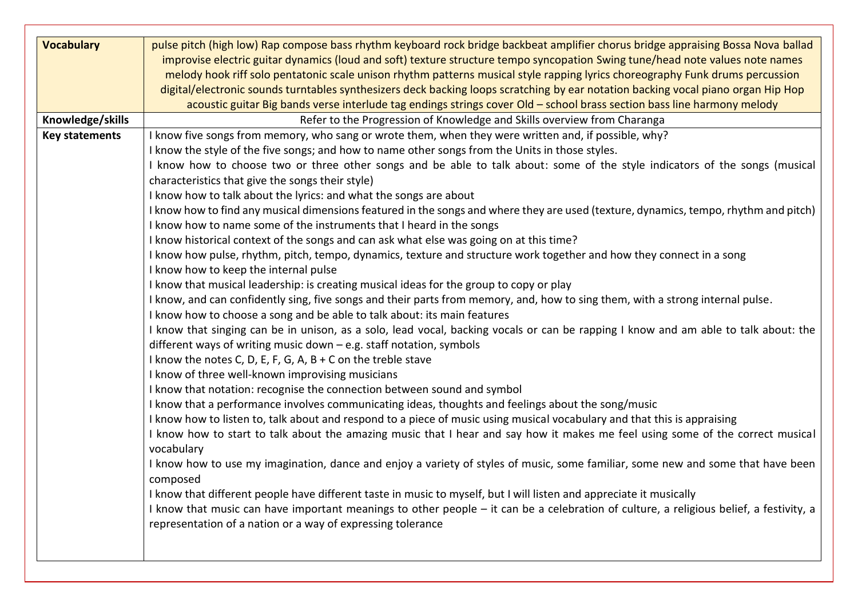| <b>Vocabulary</b>     | pulse pitch (high low) Rap compose bass rhythm keyboard rock bridge backbeat amplifier chorus bridge appraising Bossa Nova ballad      |
|-----------------------|----------------------------------------------------------------------------------------------------------------------------------------|
|                       | improvise electric guitar dynamics (loud and soft) texture structure tempo syncopation Swing tune/head note values note names          |
|                       | melody hook riff solo pentatonic scale unison rhythm patterns musical style rapping lyrics choreography Funk drums percussion          |
|                       | digital/electronic sounds turntables synthesizers deck backing loops scratching by ear notation backing vocal piano organ Hip Hop      |
|                       | acoustic guitar Big bands verse interlude tag endings strings cover Old - school brass section bass line harmony melody                |
| Knowledge/skills      | Refer to the Progression of Knowledge and Skills overview from Charanga                                                                |
| <b>Key statements</b> | I know five songs from memory, who sang or wrote them, when they were written and, if possible, why?                                   |
|                       | I know the style of the five songs; and how to name other songs from the Units in those styles.                                        |
|                       | I know how to choose two or three other songs and be able to talk about: some of the style indicators of the songs (musical            |
|                       | characteristics that give the songs their style)                                                                                       |
|                       | I know how to talk about the lyrics: and what the songs are about                                                                      |
|                       | I know how to find any musical dimensions featured in the songs and where they are used (texture, dynamics, tempo, rhythm and pitch)   |
|                       | I know how to name some of the instruments that I heard in the songs                                                                   |
|                       | I know historical context of the songs and can ask what else was going on at this time?                                                |
|                       | I know how pulse, rhythm, pitch, tempo, dynamics, texture and structure work together and how they connect in a song                   |
|                       | I know how to keep the internal pulse                                                                                                  |
|                       | I know that musical leadership: is creating musical ideas for the group to copy or play                                                |
|                       | I know, and can confidently sing, five songs and their parts from memory, and, how to sing them, with a strong internal pulse.         |
|                       | I know how to choose a song and be able to talk about: its main features                                                               |
|                       | I know that singing can be in unison, as a solo, lead vocal, backing vocals or can be rapping I know and am able to talk about: the    |
|                       | different ways of writing music down - e.g. staff notation, symbols                                                                    |
|                       | I know the notes C, D, E, F, G, A, B + C on the treble stave                                                                           |
|                       | I know of three well-known improvising musicians                                                                                       |
|                       | I know that notation: recognise the connection between sound and symbol                                                                |
|                       | I know that a performance involves communicating ideas, thoughts and feelings about the song/music                                     |
|                       | I know how to listen to, talk about and respond to a piece of music using musical vocabulary and that this is appraising               |
|                       | I know how to start to talk about the amazing music that I hear and say how it makes me feel using some of the correct musical         |
|                       | vocabulary                                                                                                                             |
|                       | I know how to use my imagination, dance and enjoy a variety of styles of music, some familiar, some new and some that have been        |
|                       | composed                                                                                                                               |
|                       | I know that different people have different taste in music to myself, but I will listen and appreciate it musically                    |
|                       | I know that music can have important meanings to other people - it can be a celebration of culture, a religious belief, a festivity, a |
|                       | representation of a nation or a way of expressing tolerance                                                                            |
|                       |                                                                                                                                        |
|                       |                                                                                                                                        |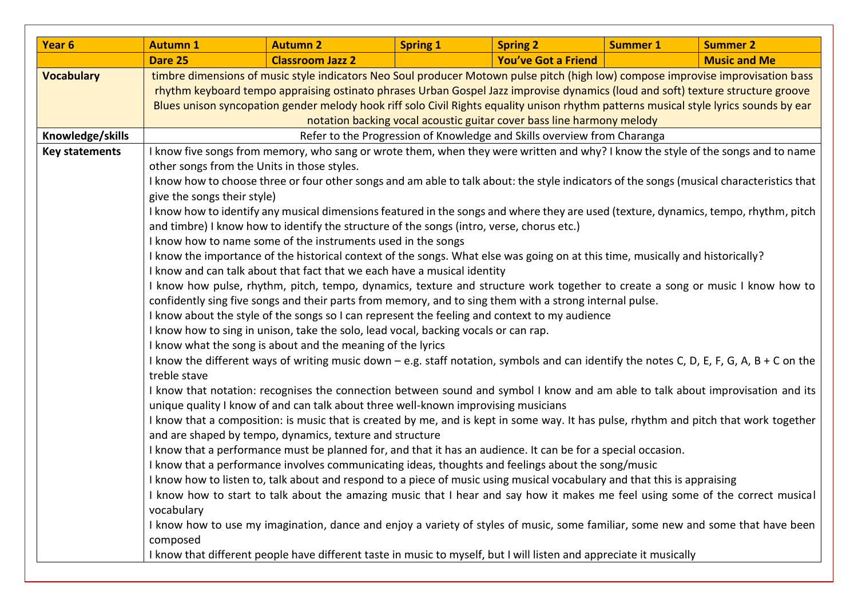| Year 6                | <b>Autumn 1</b>                                                                                                                                                                                                                                                                                                                                                                                                                                                                       | <b>Autumn 2</b>                                                                                                                                                                                                                                                                                                                                                                                                                                                                                                                                                                                                                                                                                                                                                                                                                                                                                                                                                                                                                                                                                                                                                                                                                                                                                                                                                                                                                                                                                                                                                                                                                                                                                                                                                                                                                                                                                                                                                                                                                                                                                                                                                                                                                                                                                                                                                                                                   | <b>Spring 1</b> | <b>Spring 2</b>     | <b>Summer 1</b> | <b>Summer 2</b>     |  |
|-----------------------|---------------------------------------------------------------------------------------------------------------------------------------------------------------------------------------------------------------------------------------------------------------------------------------------------------------------------------------------------------------------------------------------------------------------------------------------------------------------------------------|-------------------------------------------------------------------------------------------------------------------------------------------------------------------------------------------------------------------------------------------------------------------------------------------------------------------------------------------------------------------------------------------------------------------------------------------------------------------------------------------------------------------------------------------------------------------------------------------------------------------------------------------------------------------------------------------------------------------------------------------------------------------------------------------------------------------------------------------------------------------------------------------------------------------------------------------------------------------------------------------------------------------------------------------------------------------------------------------------------------------------------------------------------------------------------------------------------------------------------------------------------------------------------------------------------------------------------------------------------------------------------------------------------------------------------------------------------------------------------------------------------------------------------------------------------------------------------------------------------------------------------------------------------------------------------------------------------------------------------------------------------------------------------------------------------------------------------------------------------------------------------------------------------------------------------------------------------------------------------------------------------------------------------------------------------------------------------------------------------------------------------------------------------------------------------------------------------------------------------------------------------------------------------------------------------------------------------------------------------------------------------------------------------------------|-----------------|---------------------|-----------------|---------------------|--|
|                       | Dare 25                                                                                                                                                                                                                                                                                                                                                                                                                                                                               | <b>Classroom Jazz 2</b>                                                                                                                                                                                                                                                                                                                                                                                                                                                                                                                                                                                                                                                                                                                                                                                                                                                                                                                                                                                                                                                                                                                                                                                                                                                                                                                                                                                                                                                                                                                                                                                                                                                                                                                                                                                                                                                                                                                                                                                                                                                                                                                                                                                                                                                                                                                                                                                           |                 | You've Got a Friend |                 | <b>Music and Me</b> |  |
| <b>Vocabulary</b>     | timbre dimensions of music style indicators Neo Soul producer Motown pulse pitch (high low) compose improvise improvisation bass<br>rhythm keyboard tempo appraising ostinato phrases Urban Gospel Jazz improvise dynamics (loud and soft) texture structure groove<br>Blues unison syncopation gender melody hook riff solo Civil Rights equality unison rhythm patterns musical style lyrics sounds by ear<br>notation backing vocal acoustic guitar cover bass line harmony melody |                                                                                                                                                                                                                                                                                                                                                                                                                                                                                                                                                                                                                                                                                                                                                                                                                                                                                                                                                                                                                                                                                                                                                                                                                                                                                                                                                                                                                                                                                                                                                                                                                                                                                                                                                                                                                                                                                                                                                                                                                                                                                                                                                                                                                                                                                                                                                                                                                   |                 |                     |                 |                     |  |
| Knowledge/skills      | Refer to the Progression of Knowledge and Skills overview from Charanga                                                                                                                                                                                                                                                                                                                                                                                                               |                                                                                                                                                                                                                                                                                                                                                                                                                                                                                                                                                                                                                                                                                                                                                                                                                                                                                                                                                                                                                                                                                                                                                                                                                                                                                                                                                                                                                                                                                                                                                                                                                                                                                                                                                                                                                                                                                                                                                                                                                                                                                                                                                                                                                                                                                                                                                                                                                   |                 |                     |                 |                     |  |
| <b>Key statements</b> | give the songs their style)<br>treble stave<br>vocabulary                                                                                                                                                                                                                                                                                                                                                                                                                             | I know five songs from memory, who sang or wrote them, when they were written and why? I know the style of the songs and to name<br>other songs from the Units in those styles.<br>I know how to choose three or four other songs and am able to talk about: the style indicators of the songs (musical characteristics that<br>I know how to identify any musical dimensions featured in the songs and where they are used (texture, dynamics, tempo, rhythm, pitch<br>and timbre) I know how to identify the structure of the songs (intro, verse, chorus etc.)<br>I know how to name some of the instruments used in the songs<br>I know the importance of the historical context of the songs. What else was going on at this time, musically and historically?<br>I know and can talk about that fact that we each have a musical identity<br>I know how pulse, rhythm, pitch, tempo, dynamics, texture and structure work together to create a song or music I know how to<br>confidently sing five songs and their parts from memory, and to sing them with a strong internal pulse.<br>I know about the style of the songs so I can represent the feeling and context to my audience<br>I know how to sing in unison, take the solo, lead vocal, backing vocals or can rap.<br>I know what the song is about and the meaning of the lyrics<br>I know the different ways of writing music down - e.g. staff notation, symbols and can identify the notes C, D, E, F, G, A, B + C on the<br>I know that notation: recognises the connection between sound and symbol I know and am able to talk about improvisation and its<br>unique quality I know of and can talk about three well-known improvising musicians<br>I know that a composition: is music that is created by me, and is kept in some way. It has pulse, rhythm and pitch that work together<br>and are shaped by tempo, dynamics, texture and structure<br>I know that a performance must be planned for, and that it has an audience. It can be for a special occasion.<br>I know that a performance involves communicating ideas, thoughts and feelings about the song/music<br>I know how to listen to, talk about and respond to a piece of music using musical vocabulary and that this is appraising<br>I know how to start to talk about the amazing music that I hear and say how it makes me feel using some of the correct musical |                 |                     |                 |                     |  |
|                       | composed                                                                                                                                                                                                                                                                                                                                                                                                                                                                              | I know how to use my imagination, dance and enjoy a variety of styles of music, some familiar, some new and some that have been<br>I know that different people have different taste in music to myself, but I will listen and appreciate it musically                                                                                                                                                                                                                                                                                                                                                                                                                                                                                                                                                                                                                                                                                                                                                                                                                                                                                                                                                                                                                                                                                                                                                                                                                                                                                                                                                                                                                                                                                                                                                                                                                                                                                                                                                                                                                                                                                                                                                                                                                                                                                                                                                            |                 |                     |                 |                     |  |